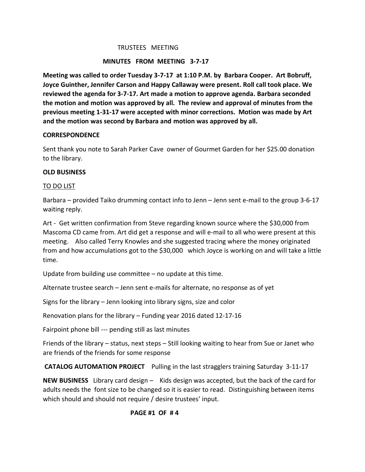#### TRUSTEES MEETING

### **MINUTES FROM MEETING 3-7-17**

**Meeting was called to order Tuesday 3-7-17 at 1:10 P.M. by Barbara Cooper. Art Bobruff, Joyce Guinther, Jennifer Carson and Happy Callaway were present. Roll call took place. We reviewed the agenda for 3-7-17. Art made a motion to approve agenda. Barbara seconded the motion and motion was approved by all. The review and approval of minutes from the previous meeting 1-31-17 were accepted with minor corrections. Motion was made by Art and the motion was second by Barbara and motion was approved by all.** 

#### **CORRESPONDENCE**

Sent thank you note to Sarah Parker Cave owner of Gourmet Garden for her \$25.00 donation to the library.

#### **OLD BUSINESS**

#### TO DO LIST

Barbara – provided Taiko drumming contact info to Jenn – Jenn sent e-mail to the group 3-6-17 waiting reply.

Art - Get written confirmation from Steve regarding known source where the \$30,000 from Mascoma CD came from. Art did get a response and will e-mail to all who were present at this meeting. Also called Terry Knowles and she suggested tracing where the money originated from and how accumulations got to the \$30,000 which Joyce is working on and will take a little time.

Update from building use committee – no update at this time.

Alternate trustee search – Jenn sent e-mails for alternate, no response as of yet

Signs for the library – Jenn looking into library signs, size and color

Renovation plans for the library – Funding year 2016 dated 12-17-16

Fairpoint phone bill --- pending still as last minutes

Friends of the library – status, next steps – Still looking waiting to hear from Sue or Janet who are friends of the friends for some response

**CATALOG AUTOMATION PROJECT** Pulling in the last stragglers training Saturday 3-11-17

**NEW BUSINESS** Library card design – Kids design was accepted, but the back of the card for adults needs the font size to be changed so it is easier to read. Distinguishing between items which should and should not require / desire trustees' input.

## **PAGE #1 OF # 4**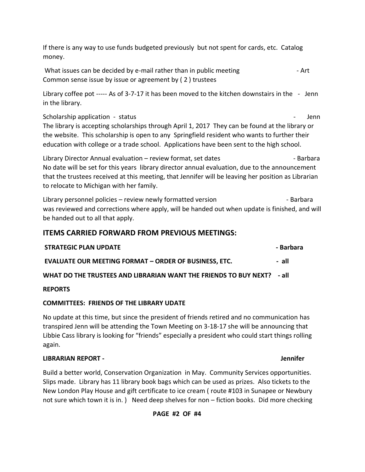If there is any way to use funds budgeted previously but not spent for cards, etc. Catalog money.

What issues can be decided by e-mail rather than in public meeting - The same state. Common sense issue by issue or agreement by ( 2 ) trustees

Library coffee pot ----- As of 3-7-17 it has been moved to the kitchen downstairs in the - Jenn in the library.

# Scholarship application - status - Jenn - Jenn - Jenn - Jenn - Jenn - Jenn - Jenn - Jenn - Jenn - Jenn - Jenn - Jenn - Jenn - Jenn - Jenn - Jenn - Jenn - Jenn - Jenn - Jenn - Jenn - Jenn - Jenn - Jenn - Jenn - Jenn - Jenn

The library is accepting scholarships through April 1, 2017 They can be found at the library or the website. This scholarship is open to any Springfield resident who wants to further their education with college or a trade school. Applications have been sent to the high school.

Library Director Annual evaluation – review format, set dates example and the Barbara No date will be set for this years library director annual evaluation, due to the announcement that the trustees received at this meeting, that Jennifer will be leaving her position as Librarian to relocate to Michigan with her family.

Library personnel policies – review newly formatted version example and the Barbara was reviewed and corrections where apply, will be handed out when update is finished, and will be handed out to all that apply.

# **ITEMS CARRIED FORWARD FROM PREVIOUS MEETINGS:**

| <b>STRATEGIC PLAN UPDATE</b>                                           | - Barbara |
|------------------------------------------------------------------------|-----------|
| <b>EVALUATE OUR MEETING FORMAT - ORDER OF BUSINESS, ETC.</b>           | - all     |
| WHAT DO THE TRUSTEES AND LIBRARIAN WANT THE FRIENDS TO BUY NEXT? - all |           |

# **REPORTS**

# **COMMITTEES: FRIENDS OF THE LIBRARY UDATE**

No update at this time, but since the president of friends retired and no communication has transpired Jenn will be attending the Town Meeting on 3-18-17 she will be announcing that Libbie Cass library is looking for "friends" especially a president who could start things rolling again.

# **LIBRARIAN REPORT - Jennifer**

Build a better world, Conservation Organization in May. Community Services opportunities. Slips made. Library has 11 library book bags which can be used as prizes. Also tickets to the New London Play House and gift certificate to ice cream ( route #103 in Sunapee or Newbury not sure which town it is in. ) Need deep shelves for non – fiction books. Did more checking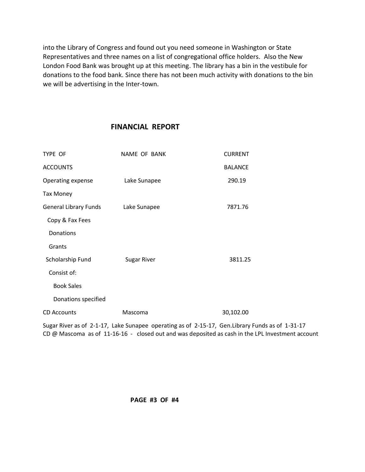into the Library of Congress and found out you need someone in Washington or State Representatives and three names on a list of congregational office holders. Also the New London Food Bank was brought up at this meeting. The library has a bin in the vestibule for donations to the food bank. Since there has not been much activity with donations to the bin we will be advertising in the Inter-town.

# **FINANCIAL REPORT**

| NAME OF BANK       | <b>CURRENT</b> |
|--------------------|----------------|
|                    | <b>BALANCE</b> |
| Lake Sunapee       | 290.19         |
|                    |                |
| Lake Sunapee       | 7871.76        |
|                    |                |
|                    |                |
|                    |                |
| <b>Sugar River</b> | 3811.25        |
|                    |                |
|                    |                |
|                    |                |
| Mascoma            | 30,102.00      |
|                    |                |

Sugar River as of 2-1-17, Lake Sunapee operating as of 2-15-17, Gen.Library Funds as of 1-31-17 CD @ Mascoma as of 11-16-16 - closed out and was deposited as cash in the LPL Investment account